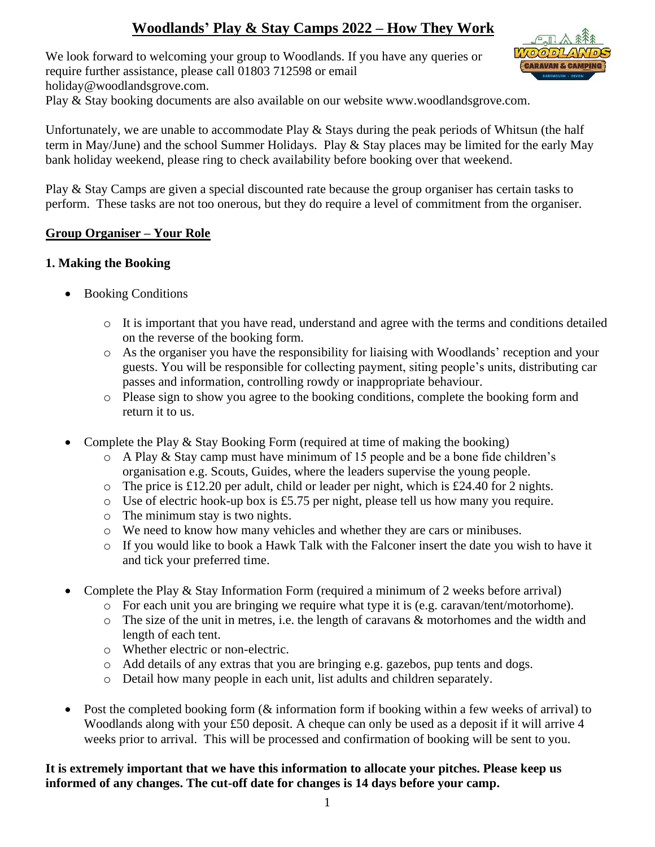# **Woodlands' Play & Stay Camps 2022 – How They Work**

We look forward to welcoming your group to Woodlands. If you have any queries or require further assistance, please call 01803 712598 or email holiday@woodlandsgrove.com.



Play & Stay booking documents are also available on our website www.woodlandsgrove.com.

Unfortunately, we are unable to accommodate Play & Stays during the peak periods of Whitsun (the half term in May/June) and the school Summer Holidays. Play & Stay places may be limited for the early May bank holiday weekend, please ring to check availability before booking over that weekend.

Play & Stay Camps are given a special discounted rate because the group organiser has certain tasks to perform. These tasks are not too onerous, but they do require a level of commitment from the organiser.

#### **Group Organiser – Your Role**

#### **1. Making the Booking**

- Booking Conditions
	- o It is important that you have read, understand and agree with the terms and conditions detailed on the reverse of the booking form.
	- o As the organiser you have the responsibility for liaising with Woodlands' reception and your guests. You will be responsible for collecting payment, siting people's units, distributing car passes and information, controlling rowdy or inappropriate behaviour.
	- o Please sign to show you agree to the booking conditions, complete the booking form and return it to us.
- Complete the Play & Stay Booking Form (required at time of making the booking)
	- o A Play & Stay camp must have minimum of 15 people and be a bone fide children's organisation e.g. Scouts, Guides, where the leaders supervise the young people.
	- o The price is £12.20 per adult, child or leader per night, which is £24.40 for 2 nights.
	- o Use of electric hook-up box is £5.75 per night, please tell us how many you require.
	- o The minimum stay is two nights.
	- o We need to know how many vehicles and whether they are cars or minibuses.
	- o If you would like to book a Hawk Talk with the Falconer insert the date you wish to have it and tick your preferred time.
- Complete the Play & Stay Information Form (required a minimum of 2 weeks before arrival)
	- $\circ$  For each unit you are bringing we require what type it is (e.g. caravan/tent/motorhome).
	- o The size of the unit in metres, i.e. the length of caravans & motorhomes and the width and length of each tent.
	- o Whether electric or non-electric.
	- o Add details of any extras that you are bringing e.g. gazebos, pup tents and dogs.
	- o Detail how many people in each unit, list adults and children separately.
- Post the completed booking form ( $\&$  information form if booking within a few weeks of arrival) to Woodlands along with your £50 deposit. A cheque can only be used as a deposit if it will arrive 4 weeks prior to arrival. This will be processed and confirmation of booking will be sent to you.

### **It is extremely important that we have this information to allocate your pitches. Please keep us informed of any changes. The cut-off date for changes is 14 days before your camp.**